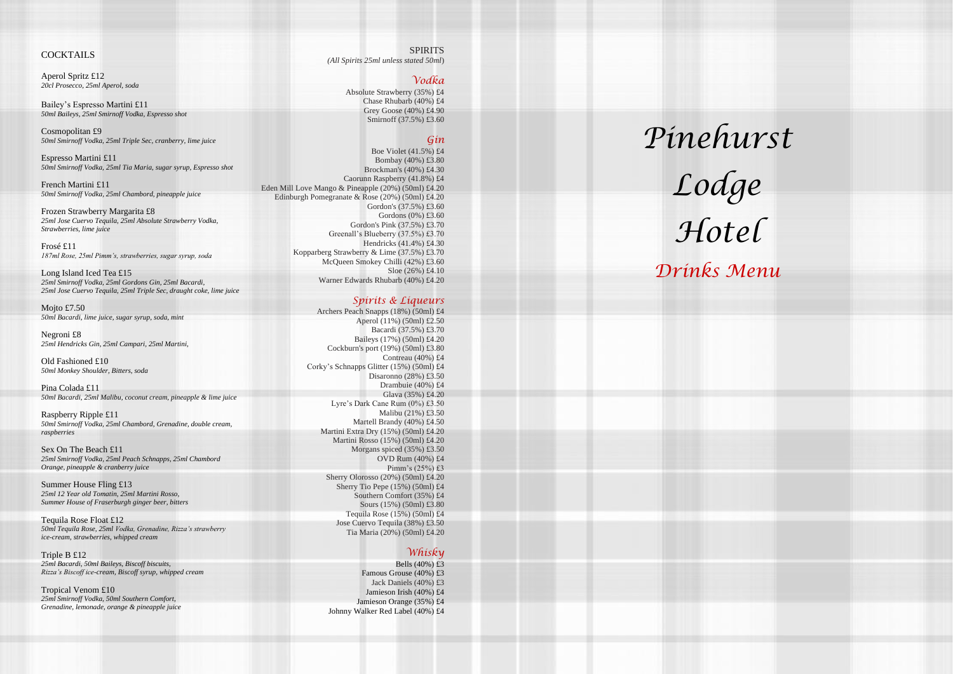*Pinehurst* 

*Lodge Hotel*

*Drinks Menu*

SPIRITS *(All Spirits 25ml unless stated 50ml*)

## *Vodka*

Absolute Strawberry (35%) £4 Chase Rhubarb (40%) £4 Grey Goose (40%) £4.90 Smirnoff (37.5%) £3.60

## *Gin*

Boe Violet (41.5%) £4 Bombay (40%) £3.80 Brockman's (40%) £4.30 Caorunn Raspberry (41.8%) £4 Eden Mill Love Mango & Pineapple (20%) (50ml) £4.20 Edinburgh Pomegranate & Rose (20%) (50ml) £4.20 Gordon's (37.5%) £3.60 Gordons (0%) £3.60 Gordon's Pink (37.5%) £3.70 Greenall's Blueberry (37.5%) £3.70 Hendricks (41.4%) £4.30 Kopparberg Strawberry & Lime (37.5%) £3.70 McQueen Smokey Chilli (42%) £3.60 Sloe (26%) £4.10 Warner Edwards Rhubarb (40%) £4.20

## *Spirits & Liqueurs*

Archers Peach Snapps (18%) (50ml) £4 Aperol (11%) (50ml) £2.50 Bacardi (37.5%) £3.70 Baileys (17%) (50ml) £4.20 Cockburn's port (19%) (50ml) £3.80 Contreau (40%) £4 Corky's Schnapps Glitter (15%) (50ml) £4 Disaronno (28%) £3.50 Drambuie (40%) £4 Glava (35%) £4.20 Lyre's Dark Cane Rum (0%) £3.50 Malibu (21%) £3.50 Martell Brandy (40%) £4.50 Martini Extra Dry (15%) (50ml) £4.20 Martini Rosso (15%) (50ml) £4.20 Morgans spiced (35%) £3.50 OVD Rum (40%) £4 Pimm's (25%) £3 Sherry Olorosso (20%) (50ml) £4.20 Sherry Tio Pepe (15%) (50ml) £4 Southern Comfort (35%) £4 Sours (15%) (50ml) £3.80 Tequila Rose (15%) (50ml) £4 Jose Cuervo Tequila (38%) £3.50 Tia Maria (20%) (50ml) £4.20

Mojto £7.50 *50ml Bacardi, lime juice, sugar syrup, soda, mint*

# *Whisky*

Bells (40%) £3 Famous Grouse (40%) £3 Jack Daniels (40%) £3 Jamieson Irish (40%) £4 Jamieson Orange (35%) £4 Johnny Walker Red Label (40%) £4

### COCKTAILS

Aperol Spritz £12 *20cl Prosecco, 25ml Aperol, soda*

Bailey's Espresso Martini £11 *50ml Baileys, 25ml Smirnoff Vodka, Espresso shot*

Cosmopolitan £9 *50ml Smirnoff Vodka, 25ml Triple Sec, cranberry, lime juice*

Espresso Martini £11 *50ml Smirnoff Vodka, 25ml Tia Maria, sugar syrup, Espresso shot*

French Martini £11 *50ml Smirnoff Vodka, 25ml Chambord, pineapple juice*

Frozen Strawberry Margarita £8 *25ml Jose Cuervo Tequila, 25ml Absolute Strawberry Vodka, Strawberries, lime juice*

Frosé £11 *187ml Rose, 25ml Pimm's, strawberries, sugar syrup, soda*

Long Island Iced Tea £15 *25ml Smirnoff Vodka, 25ml Gordons Gin, 25ml Bacardi, 25ml Jose Cuervo Tequila, 25ml Triple Sec, draught coke, lime juice*

Negroni £8 *25ml Hendricks Gin, 25ml Campari, 25ml Martini,*

Old Fashioned £10 *50ml Monkey Shoulder, Bitters, soda*

Pina Colada £11 *50ml Bacardi, 25ml Malibu, coconut cream, pineapple & lime juice*

Raspberry Ripple £11 *50ml Smirnoff Vodka, 25ml Chambord, Grenadine, double cream, raspberries*

Sex On The Beach £11 *25ml Smirnoff Vodka, 25ml Peach Schnapps, 25ml Chambord Orange, pineapple & cranberry juice*

Summer House Fling £13 *25ml 12 Year old Tomatin, 25ml Martini Rosso, Summer House of Fraserburgh ginger beer, bitters*

Tequila Rose Float £12 *50ml Tequila Rose, 25ml Vodka, Grenadine, Rizza's strawberry ice -cream, strawberries, whipped cream*

Triple B £12 *25ml Bacardi, 50ml Baileys, Biscoff biscuits, Rizza's Biscoff ice -cream, Biscoff syrup, whipped cream*

Tropical Venom £10 *25ml Smirnoff Vodka, 50ml Southern Comfort, Grenadine, lemonade, orange & pineapple juice*